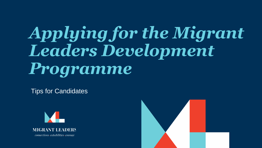# *Applying for the Migrant Leaders Development Programme*

Tips for Candidates



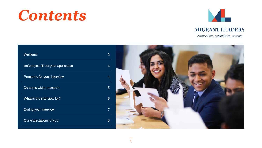### *Contents*



### **MIGRANT LEADERS**

 $connections \cdot capabilities \cdot course$ 

| Welcome                              | $\overline{2}$   |  |
|--------------------------------------|------------------|--|
| Before you fill out your application | 3 <sup>2</sup>   |  |
| Preparing for your interview         | Δ                |  |
| Do some wider research               | $5\overline{)}$  |  |
| What is the interview for?           | $6 \overline{6}$ |  |
| During your interview                | $\overline{7}$   |  |
| Our expectations of you              | 8 <sup>8</sup>   |  |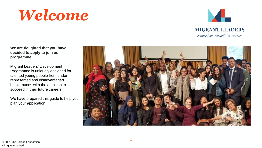### *Welcome*



**MIGRANT LEADERS** 

 $connections \cdot capabilities \cdot courage$ 

**We are delighted that you have decided to apply to join our programme!**

Migrant Leaders' Development Programme is uniquely designed for talented young people from underrepresented and disadvantaged backgrounds with the ambition to succeed in their future careers.

We have prepared this guide to help you plan your application.

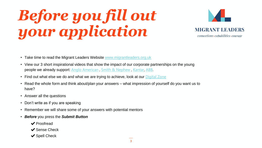# *Before you fill out your application*



- Take time to read the Migrant Leaders Website [www.migrantleaders.org.uk](http://www.migrantleaders.org.uk/)
- View our 3 short inspirational videos that show the impact of our corporate partnerships on the young people we already support: [Anglo American](https://nam06.safelinks.protection.outlook.com/?url=https%3A%2F%2Fwww.youtube.com%2Fwatch%3Fv%3DtuC0DjUxLTo%26t%3D6s&data=02%7C01%7CAhmedMaz%40microsoft.com%7Ce92a218e68c84bde5cf708d8299c186f%7C72f988bf86f141af91ab2d7cd011db47%7C1%7C0%7C637305097710886471&sdata=cyBOmW5enqBKeA%2BC7pB7Db%2BZmVVTrMt1aDnSo%2FkIfqc%3D&reserved=0) , [Smith & Nephew](https://nam06.safelinks.protection.outlook.com/?url=https%3A%2F%2Fwww.youtube.com%2Fwatch%3Fv%3DrvPuYdw2W8o%26t%3D40s&data=02%7C01%7CAhmedMaz%40microsoft.com%7Ce92a218e68c84bde5cf708d8299c186f%7C72f988bf86f141af91ab2d7cd011db47%7C1%7C0%7C637305097710896464&sdata=1pYgqykE4KV5PNZzmlOFV%2BqqEsgovTLbXd9XYUyhS0g%3D&reserved=0) , [Kantar,](https://nam06.safelinks.protection.outlook.com/?url=https%3A%2F%2Fwww.youtube.com%2Fwatch%3Fv%3D5ylG1jOvTsk&data=02%7C01%7CAhmedMaz%40microsoft.com%7Ce92a218e68c84bde5cf708d8299c186f%7C72f988bf86f141af91ab2d7cd011db47%7C1%7C0%7C637305097710906463&sdata=V1%2B8se8Ns2VsdpfbzwT9%2BUWkb8yAFzC3SyIRdxnNgtY%3D&reserved=0) [ABB.](https://www.youtube.com/watch?v=pBpMhP_SiEE&t=5s)
- Find out what else we do and what we are trying to achieve, look at our **[Digital Zone](https://www.migrantleaders.org.uk/digitalzone)**
- Read the whole form and think about/plan your answers what impression of yourself do you want us to have?
- Answer all the questions
- Don't write as if you are speaking
- Remember we will share some of your answers with potential mentors
- *Before* you press the *Submit Button*
	- ✔Proofread
	- ✔Sense Check
	- ◆ Spell Check

3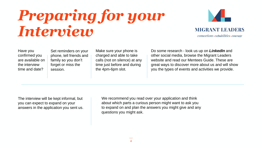### *Preparing for your Interview*



Have you confirmed you are available on the interview time and date?

Set reminders on your phone, tell friends and family so you don't forget or miss the session.

Make sure your phone is charged and able to take calls (not on silence) at any time just before and during the 4pm-6pm slot.

Do some research - look us up on *LinkedIn* and other social media, browse the Migrant Leaders website and read our Mentees Guide. These are great ways to discover more about us and will show you the types of events and activities we provide.

The interview will be kept informal, but you can expect to expand on your answers in the application you sent us.

We recommend you read over your application and think about which parts a curious person might want to ask you to expand on and plan the answers you might give and any questions you might ask.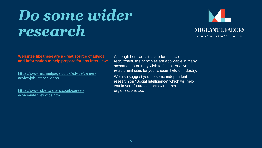### *Do some wider research*



**Websites like these are a great source of advice and information to help prepare for any interview:**

[https://www.michaelpage.co.uk/advice/career](https://www.michaelpage.co.uk/advice/career-advice/job-interview-tips)advice/job-interview-tips

[https://www.robertwalters.co.uk/career](https://www.robertwalters.co.uk/career-advice/interview-tips.html)advice/interview-tips.html

Although both websites are for finance recruitment, the principles are applicable in many scenarios. You may wish to find alternative recruitment sites for your chosen field or industry.

We also suggest you do some independent research on "Social Intelligence" which will help you in your future contacts with other organisations too.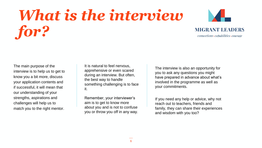## *What is the interview for?*

![](_page_6_Picture_1.jpeg)

### **MIGRANT LEADERS**

 $connections \cdot capabilities \cdot course$ 

The main purpose of the interview is to help us to get to know you a bit more, discuss your application contents and if successful, it will mean that our understanding of your strengths, aspirations and challenges will help us to match you to the right mentor.

It is natural to feel nervous, apprehensive or even scared during an interview. But often, the best way to handle something challenging is to face it.

Remember, your interviewer's aim is to get to know more about you and is not to confuse you or throw you off in any way.

The interview is also an opportunity for you to ask any questions you might have prepared in advance about what's involved in the programme as well as your commitments.

If you need any help or advice, why not reach out to teachers, friends and family, they can share their experiences and wisdom with you too?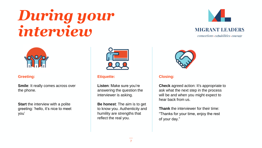### *During your interview*

![](_page_7_Picture_1.jpeg)

**MIGRANT LEADERS** 

 $connections \cdot capabilities \cdot course$ 

![](_page_7_Picture_4.jpeg)

#### **Greeting:**

**Smile**: It really comes across over the phone.

**Start** the interview with a polite greeting: 'hello, it's nice to meet you'

![](_page_7_Picture_8.jpeg)

#### **Etiquette:**

**Listen**: Make sure you're answering the question the interviewer is asking.

**Be honest**: The aim is to get to know you. Authenticity and humility are strengths that reflect the real you.

![](_page_7_Picture_12.jpeg)

#### **Closing:**

**Check** agreed action: It's appropriate to ask what the next step in the process will be and when you might expect to hear back from us.

**Thank** the interviewer for their time: "Thanks for your time, enjoy the rest of your day."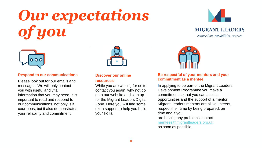# *Our expectations of you*

![](_page_8_Picture_1.jpeg)

### **MIGRANT LEADERS**

 $connections \cdot capabilities \cdot course$ 

![](_page_8_Picture_4.jpeg)

#### **Respond to our communications**

Please look out for our emails and messages. We will only contact you with useful and vital information that you may need. It is important to read and respond to our communications, not only is it courteous, but it also demonstrates your reliability and commitment.

![](_page_8_Picture_7.jpeg)

#### **Discover our online**

#### **resources**

While you are waiting for us to contact you again, why not go onto our website and sign up for the Migrant Leaders Digital Zone. Here you will find some extra support to help you build your skills.

![](_page_8_Picture_11.jpeg)

#### **Be respectful of your mentors and your commitment as a mentee**

In applying to be part of the Migrant Leaders Development Programme you make a commitment so that you can access opportunities and the support of a mentor. Migrant Leaders mentors are all volunteers, respect their time by being prepared, on time and if you are having any problems contact [mentees@migrantleaders.org.uk](mailto:mentees@migrantleaders.org.uk) as soon as possible.